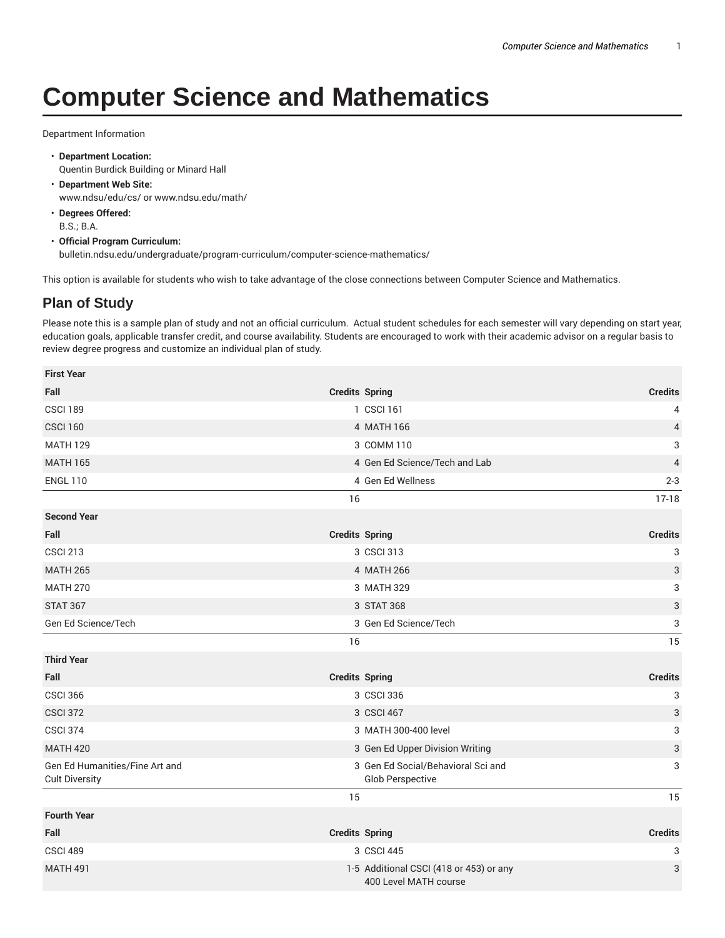## **Computer Science and Mathematics**

Department Information

- **Department Location:** Quentin Burdick Building or Minard Hall
- **Department Web Site:** www.ndsu/edu/cs/ or www.ndsu.edu/math/
- **Degrees Offered:** B.S.; B.A.
- **Official Program Curriculum:** bulletin.ndsu.edu/undergraduate/program-curriculum/computer-science-mathematics/

This option is available for students who wish to take advantage of the close connections between Computer Science and Mathematics.

## **Plan of Study**

Please note this is a sample plan of study and not an official curriculum. Actual student schedules for each semester will vary depending on start year, education goals, applicable transfer credit, and course availability. Students are encouraged to work with their academic advisor on a regular basis to review degree progress and customize an individual plan of study.

| <b>First Year</b>                                       |                         |                                                                  |                           |
|---------------------------------------------------------|-------------------------|------------------------------------------------------------------|---------------------------|
| Fall                                                    | <b>Credits Spring</b>   |                                                                  | <b>Credits</b>            |
| <b>CSCI 189</b>                                         | 1 CSCI 161              |                                                                  | 4                         |
| <b>CSCI 160</b>                                         | 4 MATH 166              |                                                                  | $\overline{4}$            |
| <b>MATH 129</b>                                         | 3 COMM 110              |                                                                  | 3                         |
| <b>MATH 165</b>                                         |                         | 4 Gen Ed Science/Tech and Lab                                    | 4                         |
| <b>ENGL 110</b>                                         | 4 Gen Ed Wellness       |                                                                  | $2 - 3$                   |
|                                                         | 16                      |                                                                  | $17-18$                   |
| <b>Second Year</b>                                      |                         |                                                                  |                           |
| Fall                                                    | <b>Credits Spring</b>   |                                                                  | <b>Credits</b>            |
| <b>CSCI 213</b>                                         | 3 CSCI 313              |                                                                  | 3                         |
| <b>MATH 265</b>                                         | 4 MATH 266              |                                                                  | 3                         |
| <b>MATH 270</b>                                         | 3 MATH 329              |                                                                  | 3                         |
| <b>STAT 367</b>                                         | 3 STAT 368              |                                                                  | $\ensuremath{\mathsf{3}}$ |
| Gen Ed Science/Tech                                     | 3 Gen Ed Science/Tech   |                                                                  | 3                         |
|                                                         | 16                      |                                                                  | 15                        |
| <b>Third Year</b>                                       |                         |                                                                  |                           |
| Fall                                                    | <b>Credits Spring</b>   |                                                                  | <b>Credits</b>            |
| <b>CSCI 366</b>                                         | 3 CSCI 336              |                                                                  | 3                         |
| <b>CSCI 372</b>                                         | 3 CSCI 467              |                                                                  | 3                         |
| <b>CSCI 374</b>                                         | 3 MATH 300-400 level    |                                                                  | 3                         |
| <b>MATH 420</b>                                         |                         | 3 Gen Ed Upper Division Writing                                  | 3                         |
| Gen Ed Humanities/Fine Art and<br><b>Cult Diversity</b> | <b>Glob Perspective</b> | 3 Gen Ed Social/Behavioral Sci and                               | 3                         |
|                                                         | 15                      |                                                                  | 15                        |
| <b>Fourth Year</b>                                      |                         |                                                                  |                           |
| Fall                                                    | <b>Credits Spring</b>   |                                                                  | <b>Credits</b>            |
| CSCI 489                                                | 3 CSCI 445              |                                                                  | 3                         |
| <b>MATH 491</b>                                         |                         | 1-5 Additional CSCI (418 or 453) or any<br>400 Level MATH course | 3                         |